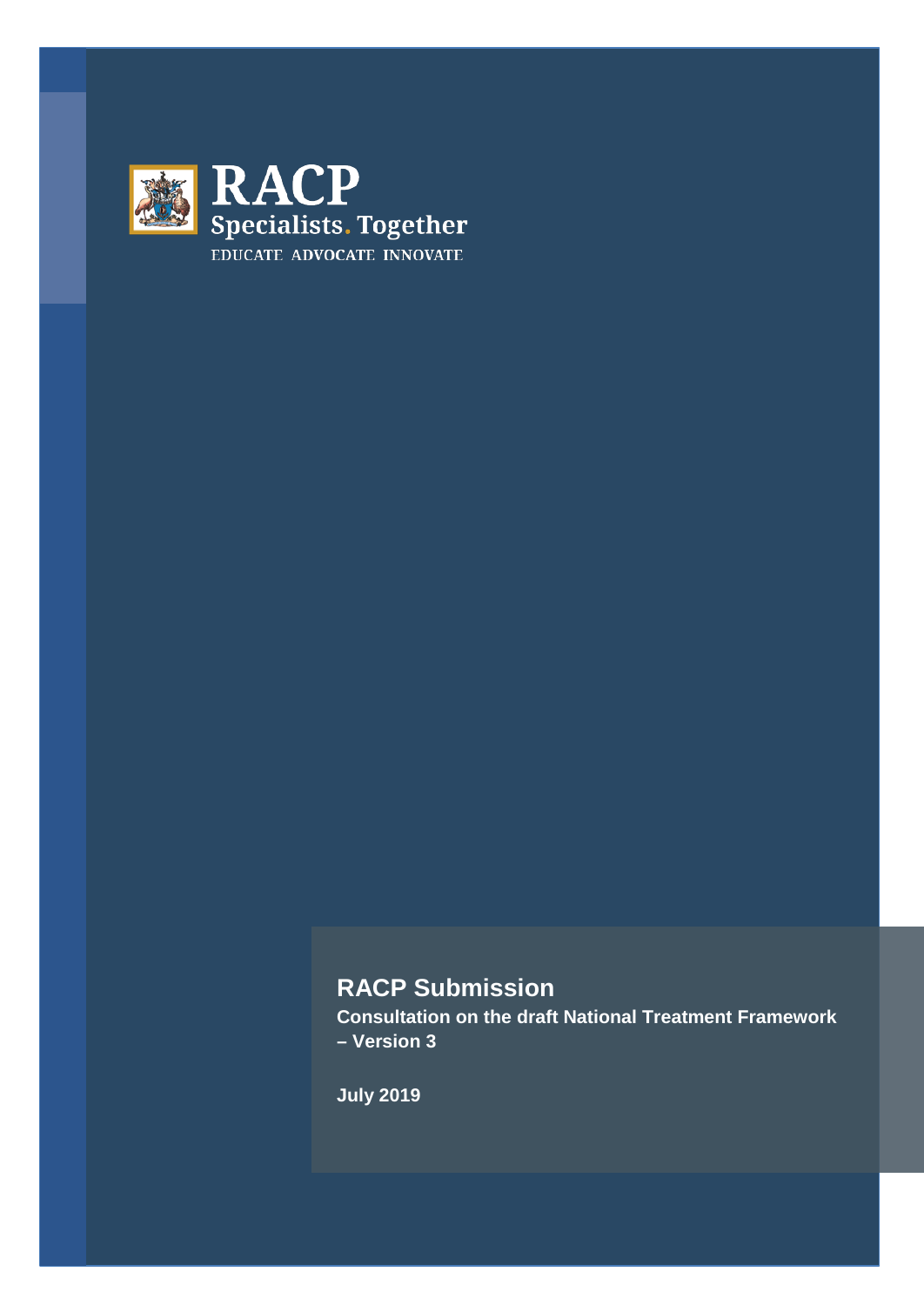

# **RACP Submission**

**Consultation on the draft National Treatment Framework – Version 3** 

**July 2019**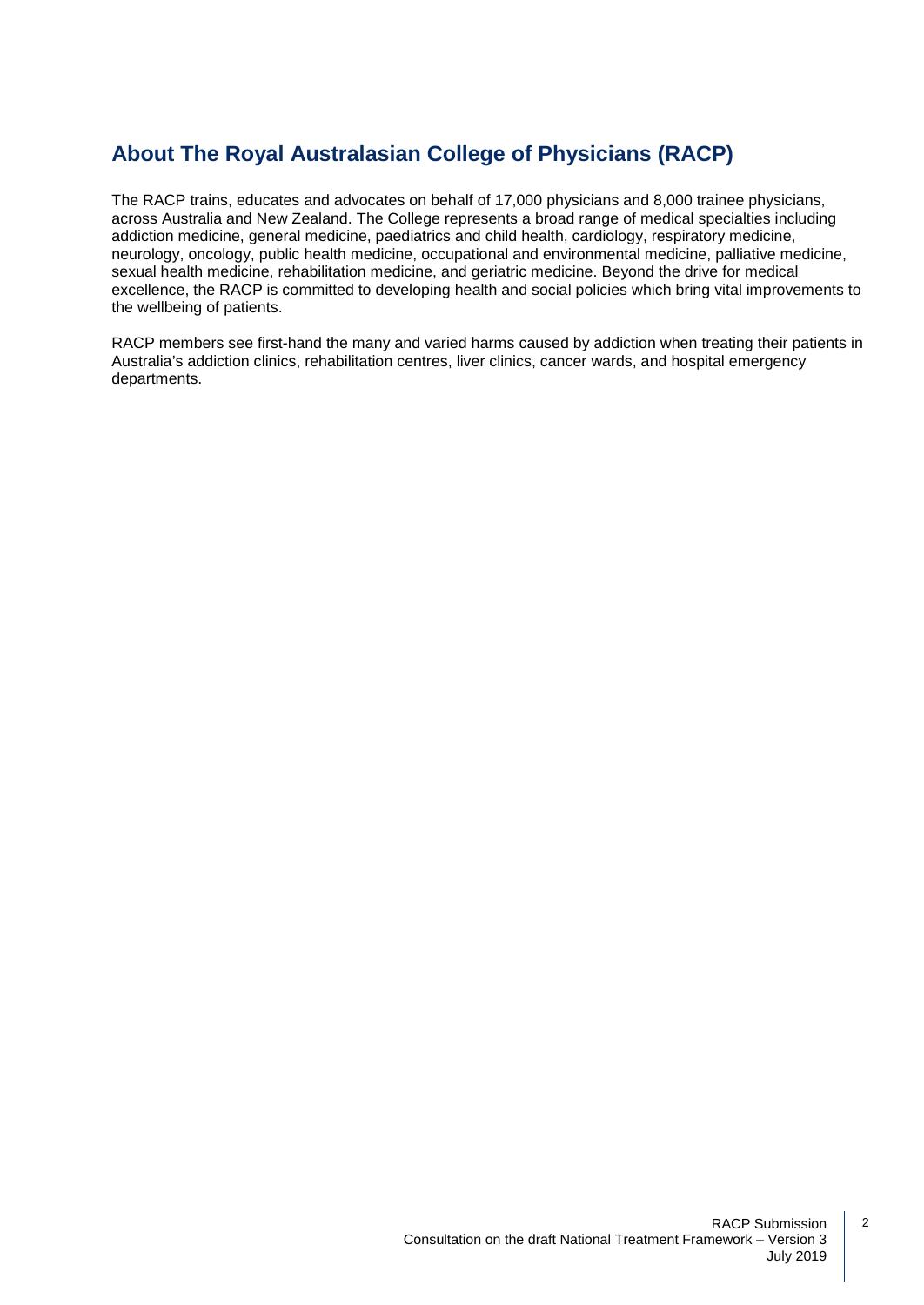## **About The Royal Australasian College of Physicians (RACP)**

The RACP trains, educates and advocates on behalf of 17,000 physicians and 8,000 trainee physicians, across Australia and New Zealand. The College represents a broad range of medical specialties including addiction medicine, general medicine, paediatrics and child health, cardiology, respiratory medicine, neurology, oncology, public health medicine, occupational and environmental medicine, palliative medicine, sexual health medicine, rehabilitation medicine, and geriatric medicine. Beyond the drive for medical excellence, the RACP is committed to developing health and social policies which bring vital improvements to the wellbeing of patients.

RACP members see first-hand the many and varied harms caused by addiction when treating their patients in Australia's addiction clinics, rehabilitation centres, liver clinics, cancer wards, and hospital emergency departments.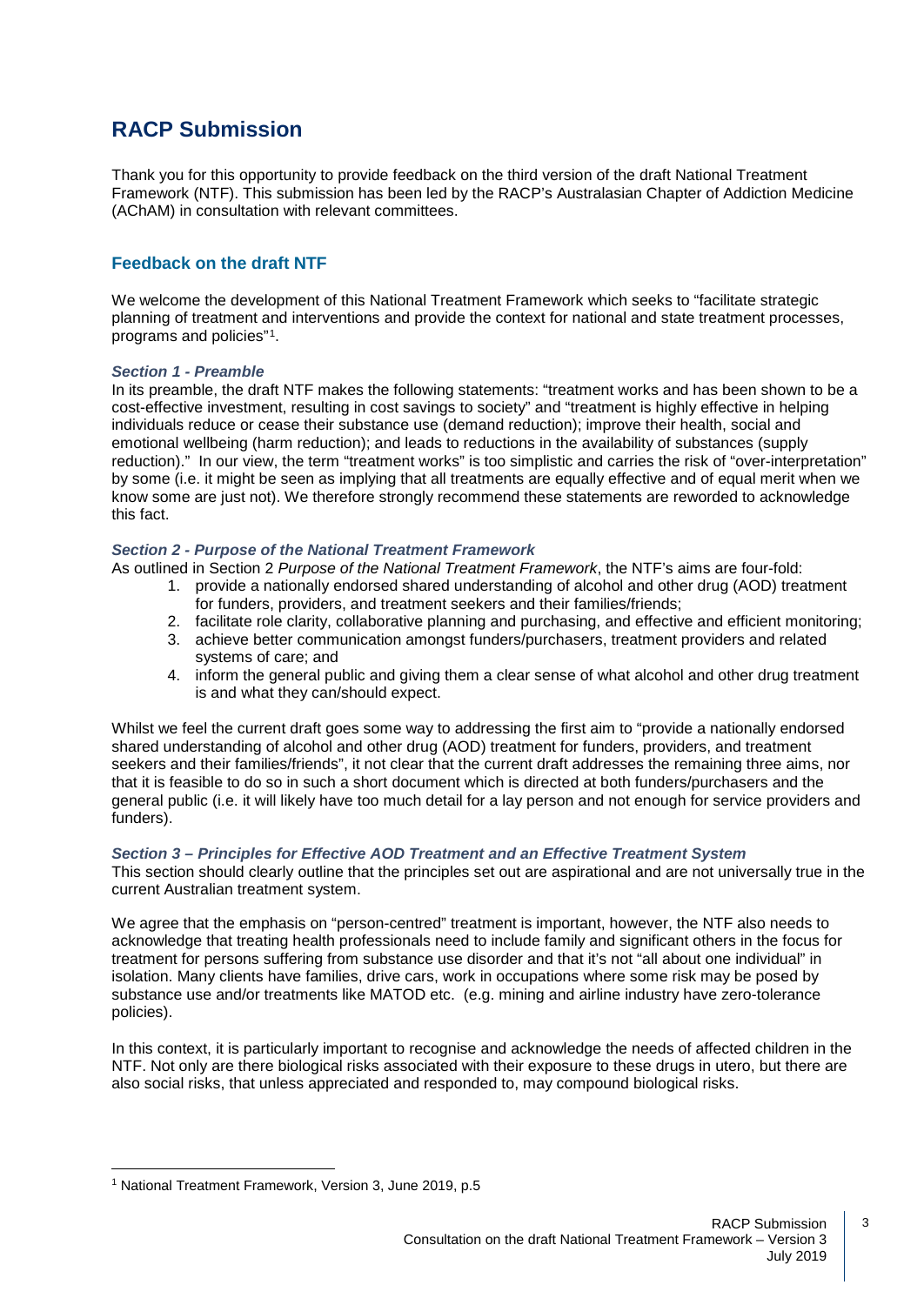### **RACP Submission**

Thank you for this opportunity to provide feedback on the third version of the draft National Treatment Framework (NTF). This submission has been led by the RACP's Australasian Chapter of Addiction Medicine (AChAM) in consultation with relevant committees.

### **Feedback on the draft NTF**

We welcome the development of this National Treatment Framework which seeks to "facilitate strategic planning of treatment and interventions and provide the context for national and state treatment processes, programs and policies"[1](#page-2-0).

#### *Section 1 - Preamble*

In its preamble, the draft NTF makes the following statements: "treatment works and has been shown to be a cost-effective investment, resulting in cost savings to society" and "treatment is highly effective in helping individuals reduce or cease their substance use (demand reduction); improve their health, social and emotional wellbeing (harm reduction); and leads to reductions in the availability of substances (supply reduction)." In our view, the term "treatment works" is too simplistic and carries the risk of "over-interpretation" by some (i.e. it might be seen as implying that all treatments are equally effective and of equal merit when we know some are just not). We therefore strongly recommend these statements are reworded to acknowledge this fact.

#### *Section 2 - Purpose of the National Treatment Framework*

As outlined in Section 2 *Purpose of the National Treatment Framework*, the NTF's aims are four-fold:

- 1. provide a nationally endorsed shared understanding of alcohol and other drug (AOD) treatment for funders, providers, and treatment seekers and their families/friends;
- 2. facilitate role clarity, collaborative planning and purchasing, and effective and efficient monitoring;
- 3. achieve better communication amongst funders/purchasers, treatment providers and related systems of care; and
- 4. inform the general public and giving them a clear sense of what alcohol and other drug treatment is and what they can/should expect.

Whilst we feel the current draft goes some way to addressing the first aim to "provide a nationally endorsed shared understanding of alcohol and other drug (AOD) treatment for funders, providers, and treatment seekers and their families/friends", it not clear that the current draft addresses the remaining three aims, nor that it is feasible to do so in such a short document which is directed at both funders/purchasers and the general public (i.e. it will likely have too much detail for a lay person and not enough for service providers and funders).

#### *Section 3 – Principles for Effective AOD Treatment and an Effective Treatment System*

This section should clearly outline that the principles set out are aspirational and are not universally true in the current Australian treatment system.

We agree that the emphasis on "person-centred" treatment is important, however, the NTF also needs to acknowledge that treating health professionals need to include family and significant others in the focus for treatment for persons suffering from substance use disorder and that it's not "all about one individual" in isolation. Many clients have families, drive cars, work in occupations where some risk may be posed by substance use and/or treatments like MATOD etc. (e.g. mining and airline industry have zero-tolerance policies).

In this context, it is particularly important to recognise and acknowledge the needs of affected children in the NTF. Not only are there biological risks associated with their exposure to these drugs in utero, but there are also social risks, that unless appreciated and responded to, may compound biological risks.

<span id="page-2-0"></span><sup>1</sup> National Treatment Framework, Version 3, June 2019, p.5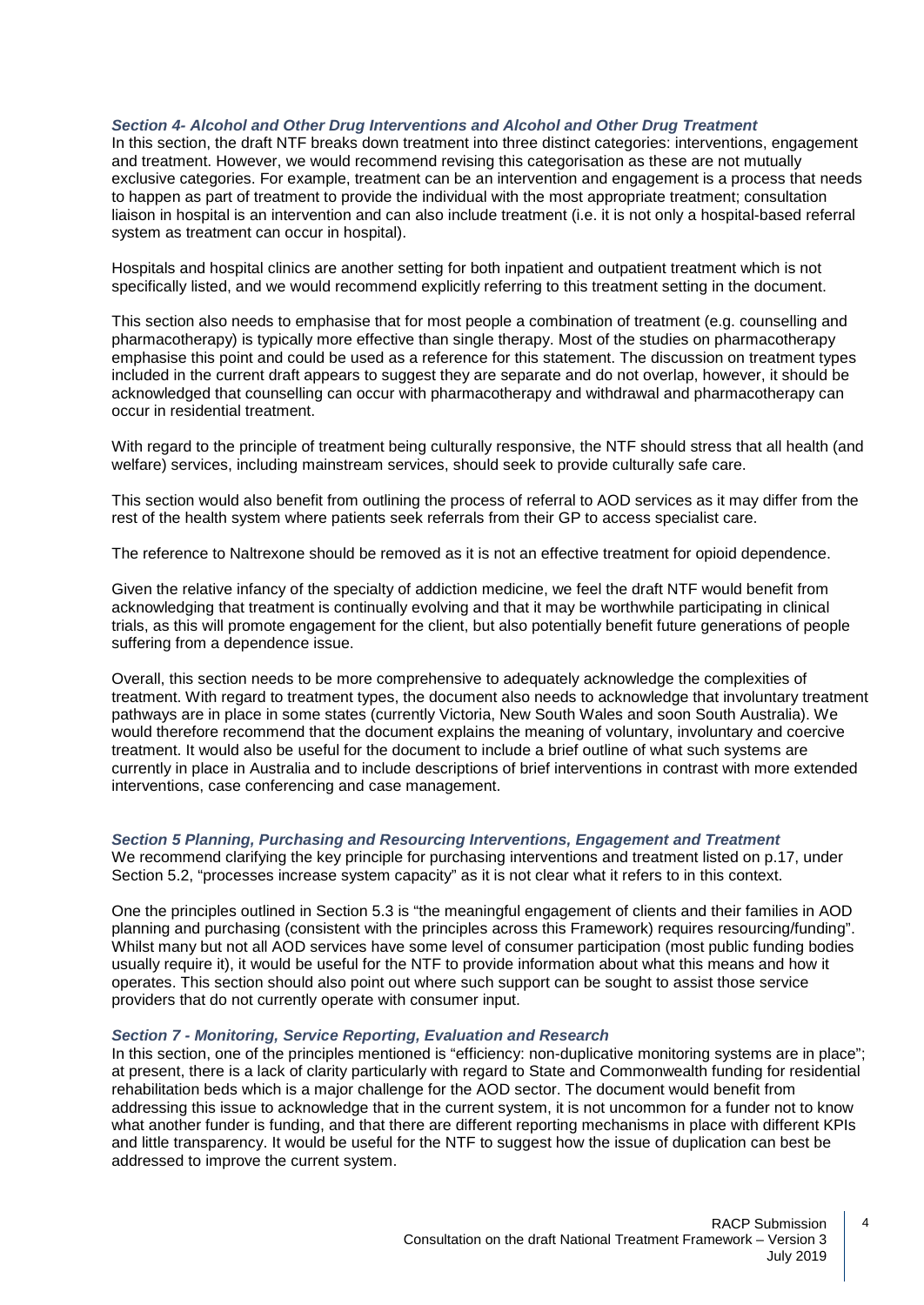#### *Section 4- Alcohol and Other Drug Interventions and Alcohol and Other Drug Treatment*

In this section, the draft NTF breaks down treatment into three distinct categories: interventions, engagement and treatment. However, we would recommend revising this categorisation as these are not mutually exclusive categories. For example, treatment can be an intervention and engagement is a process that needs to happen as part of treatment to provide the individual with the most appropriate treatment; consultation liaison in hospital is an intervention and can also include treatment (i.e. it is not only a hospital-based referral system as treatment can occur in hospital).

Hospitals and hospital clinics are another setting for both inpatient and outpatient treatment which is not specifically listed, and we would recommend explicitly referring to this treatment setting in the document.

This section also needs to emphasise that for most people a combination of treatment (e.g. counselling and pharmacotherapy) is typically more effective than single therapy. Most of the studies on pharmacotherapy emphasise this point and could be used as a reference for this statement. The discussion on treatment types included in the current draft appears to suggest they are separate and do not overlap, however, it should be acknowledged that counselling can occur with pharmacotherapy and withdrawal and pharmacotherapy can occur in residential treatment.

With regard to the principle of treatment being culturally responsive, the NTF should stress that all health (and welfare) services, including mainstream services, should seek to provide culturally safe care.

This section would also benefit from outlining the process of referral to AOD services as it may differ from the rest of the health system where patients seek referrals from their GP to access specialist care.

The reference to Naltrexone should be removed as it is not an effective treatment for opioid dependence.

Given the relative infancy of the specialty of addiction medicine, we feel the draft NTF would benefit from acknowledging that treatment is continually evolving and that it may be worthwhile participating in clinical trials, as this will promote engagement for the client, but also potentially benefit future generations of people suffering from a dependence issue.

Overall, this section needs to be more comprehensive to adequately acknowledge the complexities of treatment. With regard to treatment types, the document also needs to acknowledge that involuntary treatment pathways are in place in some states (currently Victoria, New South Wales and soon South Australia). We would therefore recommend that the document explains the meaning of voluntary, involuntary and coercive treatment. It would also be useful for the document to include a brief outline of what such systems are currently in place in Australia and to include descriptions of brief interventions in contrast with more extended interventions, case conferencing and case management.

#### *Section 5 Planning, Purchasing and Resourcing Interventions, Engagement and Treatment*

We recommend clarifying the key principle for purchasing interventions and treatment listed on p.17, under Section 5.2, "processes increase system capacity" as it is not clear what it refers to in this context.

One the principles outlined in Section 5.3 is "the meaningful engagement of clients and their families in AOD planning and purchasing (consistent with the principles across this Framework) requires resourcing/funding". Whilst many but not all AOD services have some level of consumer participation (most public funding bodies usually require it), it would be useful for the NTF to provide information about what this means and how it operates. This section should also point out where such support can be sought to assist those service providers that do not currently operate with consumer input.

#### *Section 7 - Monitoring, Service Reporting, Evaluation and Research*

In this section, one of the principles mentioned is "efficiency: non-duplicative monitoring systems are in place"; at present, there is a lack of clarity particularly with regard to State and Commonwealth funding for residential rehabilitation beds which is a major challenge for the AOD sector. The document would benefit from addressing this issue to acknowledge that in the current system, it is not uncommon for a funder not to know what another funder is funding, and that there are different reporting mechanisms in place with different KPIs and little transparency. It would be useful for the NTF to suggest how the issue of duplication can best be addressed to improve the current system.

4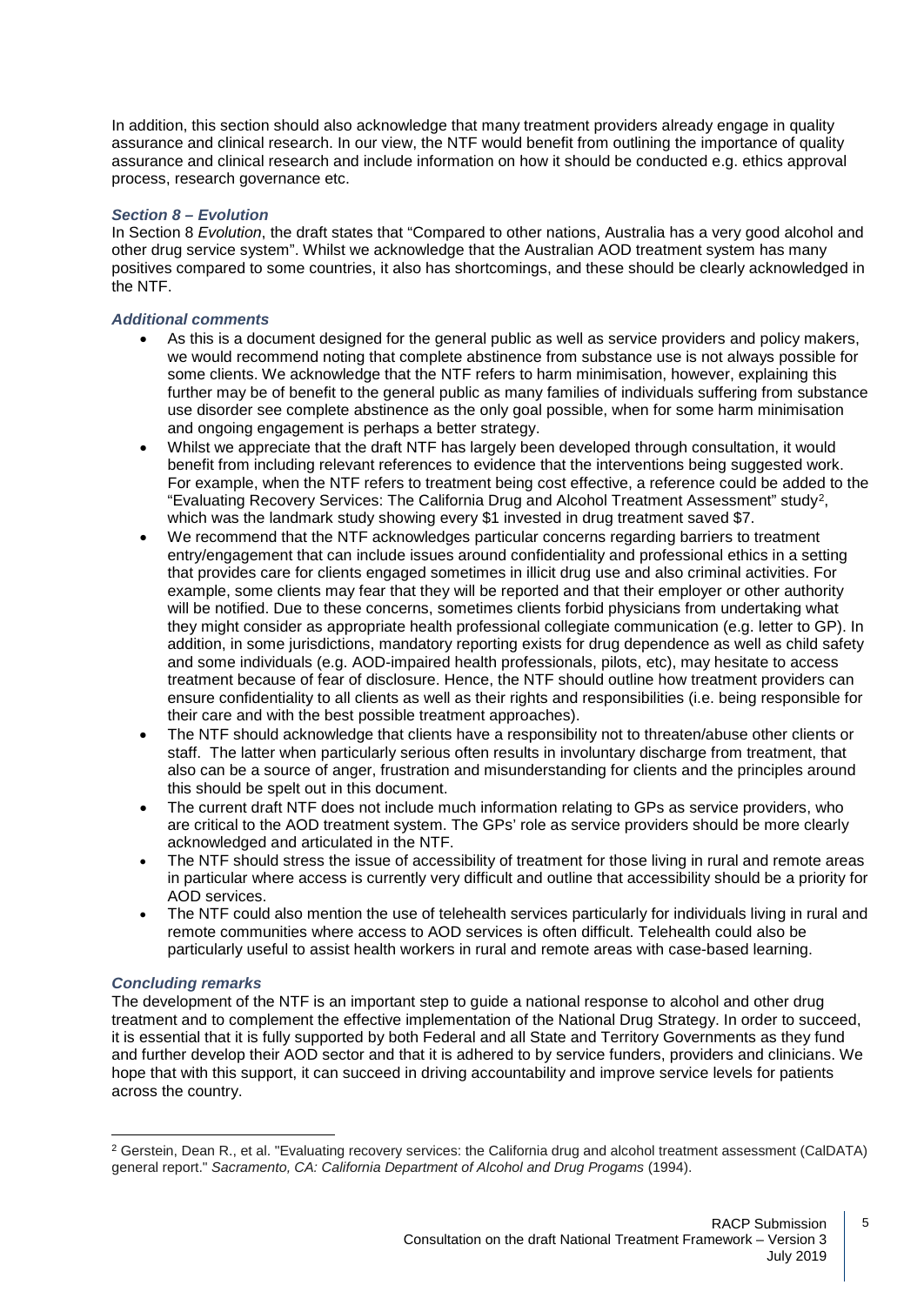In addition, this section should also acknowledge that many treatment providers already engage in quality assurance and clinical research. In our view, the NTF would benefit from outlining the importance of quality assurance and clinical research and include information on how it should be conducted e.g. ethics approval process, research governance etc.

#### *Section 8 – Evolution*

In Section 8 *Evolution*, the draft states that "Compared to other nations, Australia has a very good alcohol and other drug service system". Whilst we acknowledge that the Australian AOD treatment system has many positives compared to some countries, it also has shortcomings, and these should be clearly acknowledged in the NTF.

#### *Additional comments*

- As this is a document designed for the general public as well as service providers and policy makers, we would recommend noting that complete abstinence from substance use is not always possible for some clients. We acknowledge that the NTF refers to harm minimisation, however, explaining this further may be of benefit to the general public as many families of individuals suffering from substance use disorder see complete abstinence as the only goal possible, when for some harm minimisation and ongoing engagement is perhaps a better strategy.
- Whilst we appreciate that the draft NTF has largely been developed through consultation, it would benefit from including relevant references to evidence that the interventions being suggested work. For example, when the NTF refers to treatment being cost effective, a reference could be added to the "Evaluating Recovery Services: The California Drug and Alcohol Treatment Assessment" study[2](#page-4-0), which was the landmark study showing every \$1 invested in drug treatment saved \$7.
- We recommend that the NTF acknowledges particular concerns regarding barriers to treatment entry/engagement that can include issues around confidentiality and professional ethics in a setting that provides care for clients engaged sometimes in illicit drug use and also criminal activities. For example, some clients may fear that they will be reported and that their employer or other authority will be notified. Due to these concerns, sometimes clients forbid physicians from undertaking what they might consider as appropriate health professional collegiate communication (e.g. letter to GP). In addition, in some jurisdictions, mandatory reporting exists for drug dependence as well as child safety and some individuals (e.g. AOD-impaired health professionals, pilots, etc), may hesitate to access treatment because of fear of disclosure. Hence, the NTF should outline how treatment providers can ensure confidentiality to all clients as well as their rights and responsibilities (i.e. being responsible for their care and with the best possible treatment approaches).
- The NTF should acknowledge that clients have a responsibility not to threaten/abuse other clients or staff. The latter when particularly serious often results in involuntary discharge from treatment, that also can be a source of anger, frustration and misunderstanding for clients and the principles around this should be spelt out in this document.
- The current draft NTF does not include much information relating to GPs as service providers, who are critical to the AOD treatment system. The GPs' role as service providers should be more clearly acknowledged and articulated in the NTF.
- The NTF should stress the issue of accessibility of treatment for those living in rural and remote areas in particular where access is currently very difficult and outline that accessibility should be a priority for AOD services.
- The NTF could also mention the use of telehealth services particularly for individuals living in rural and remote communities where access to AOD services is often difficult. Telehealth could also be particularly useful to assist health workers in rural and remote areas with case-based learning.

#### *Concluding remarks*

The development of the NTF is an important step to guide a national response to alcohol and other drug treatment and to complement the effective implementation of the National Drug Strategy. In order to succeed, it is essential that it is fully supported by both Federal and all State and Territory Governments as they fund and further develop their AOD sector and that it is adhered to by service funders, providers and clinicians. We hope that with this support, it can succeed in driving accountability and improve service levels for patients across the country.

<span id="page-4-0"></span><sup>&</sup>lt;sup>2</sup> Gerstein, Dean R., et al. "Evaluating recovery services: the California drug and alcohol treatment assessment (CalDATA) general report." *Sacramento, CA: California Department of Alcohol and Drug Progams* (1994).